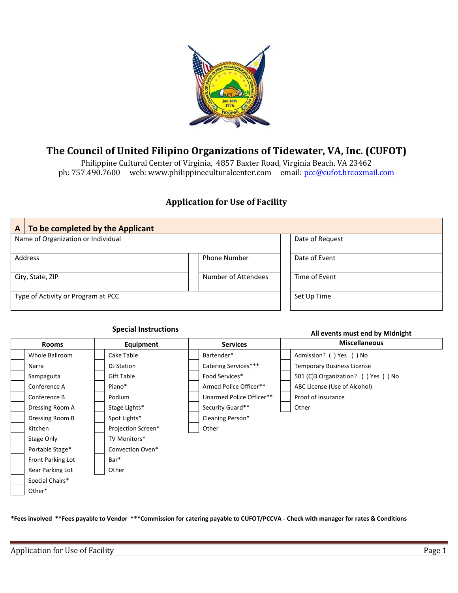

## **The Council of United Filipino Organizations of Tidewater, VA, Inc. (CUFOT)**

Philippine Cultural Center of Virginia, 4857 Baxter Road, Virginia Beach, VA 23462 ph: 757.490.7600 web: www.philippineculturalcenter.com email[: pcc@cufot.hrcoxmail.com](mailto:pcc@cufot.hrcoxmail.com)

## **Application for Use of Facility**

| To be completed by the Applicant<br>A |                     |                 |
|---------------------------------------|---------------------|-----------------|
| Name of Organization or Individual    |                     | Date of Request |
| Address                               | <b>Phone Number</b> | Date of Event   |
| City, State, ZIP                      | Number of Attendees | Time of Event   |
| Type of Activity or Program at PCC    | Set Up Time         |                 |

**Special Instructions All events must end by Midnight**

| <b>Rooms</b>      | Equipment          | <b>Services</b>          | <b>Miscellaneous</b>                |
|-------------------|--------------------|--------------------------|-------------------------------------|
| Whole Ballroom    | Cake Table         | Bartender*               | Admission? () Yes () No             |
| Narra             | DJ Station         | Catering Services***     | <b>Temporary Business License</b>   |
| Sampaguita        | Gift Table         | Food Services*           | 501 (C)3 Organization? () Yes () No |
| Conference A      | Piano*             | Armed Police Officer**   | ABC License (Use of Alcohol)        |
| Conference B      | Podium             | Unarmed Police Officer** | Proof of Insurance                  |
| Dressing Room A   | Stage Lights*      | Security Guard**         | Other                               |
| Dressing Room B   | Spot Lights*       | Cleaning Person*         |                                     |
| Kitchen           | Projection Screen* | Other                    |                                     |
| Stage Only        | TV Monitors*       |                          |                                     |
| Portable Stage*   | Convection Oven*   |                          |                                     |
| Front Parking Lot | Bar <sup>*</sup>   |                          |                                     |
| Rear Parking Lot  | Other              |                          |                                     |
| Special Chairs*   |                    |                          |                                     |
| Other*            |                    |                          |                                     |

**\*Fees involved \*\*Fees payable to Vendor \*\*\*Commission for catering payable to CUFOT/PCCVA - Check with manager for rates & Conditions**